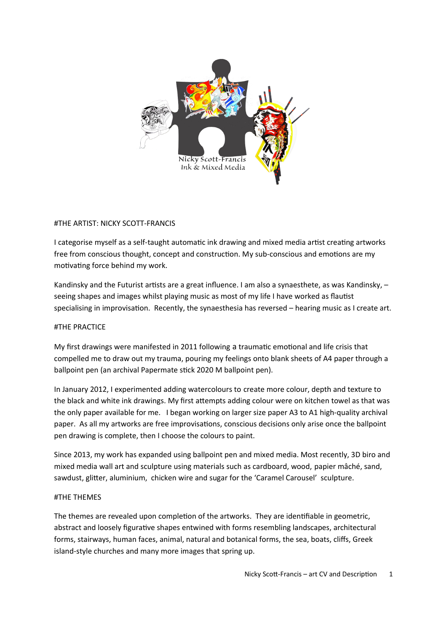

### #THE ARTIST: NICKY SCOTT-FRANCIS

I categorise myself as a self-taught automatic ink drawing and mixed media artist creating artworks free from conscious thought, concept and construction. My sub-conscious and emotions are my motivating force behind my work.

Kandinsky and the Futurist artists are a great influence. I am also a synaesthete, as was Kandinsky, – seeing shapes and images whilst playing music as most of my life I have worked as flautist specialising in improvisation. Recently, the synaesthesia has reversed – hearing music as I create art.

#### #THE PRACTICE

My first drawings were manifested in 2011 following a traumatic emotional and life crisis that compelled me to draw out my trauma, pouring my feelings onto blank sheets of A4 paper through a ballpoint pen (an archival Papermate stick 2020 M ballpoint pen).

In January 2012, I experimented adding watercolours to create more colour, depth and texture to the black and white ink drawings. My first attempts adding colour were on kitchen towel as that was the only paper available for me. I began working on larger size paper A3 to A1 high-quality archival paper. As all my artworks are free improvisations, conscious decisions only arise once the ballpoint pen drawing is complete, then I choose the colours to paint.

Since 2013, my work has expanded using ballpoint pen and mixed media. Most recently, 3D biro and mixed media wall art and sculpture using materials such as cardboard, wood, papier mâché, sand, sawdust, glitter, aluminium, chicken wire and sugar for the 'Caramel Carousel' sculpture.

#### #THE THEMES

The themes are revealed upon completion of the artworks. They are identifiable in geometric, abstract and loosely figurative shapes entwined with forms resembling landscapes, architectural forms, stairways, human faces, animal, natural and botanical forms, the sea, boats, cliffs, Greek island-style churches and many more images that spring up.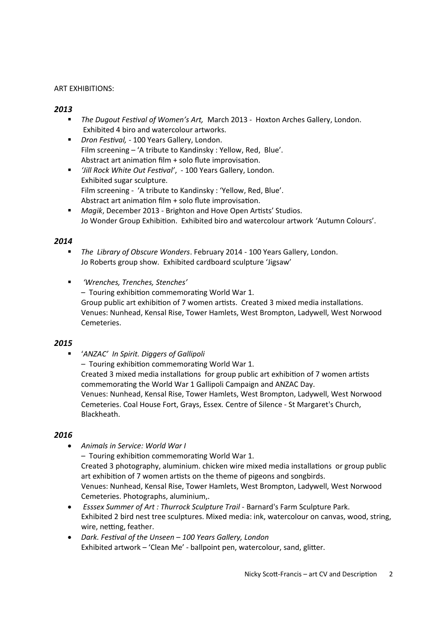## ART EXHIBITIONS:

# *2013*

- *The Dugout Festival of Women's Art,* March 2013 Hoxton Arches Gallery, London. Exhibited 4 biro and watercolour artworks.
- *Dron Festival,* 100 Years Gallery, London. Film screening – 'A tribute to Kandinsky : Yellow, Red, Blue'. Abstract art animation film + solo flute improvisation.
- *'Jill Rock White Out Festival'*, 100 Years Gallery, London. Exhibited sugar sculpture. Film screening - 'A tribute to Kandinsky : 'Yellow, Red, Blue'. Abstract art animation film + solo flute improvisation.
- *Magik*, December 2013 Brighton and Hove Open Artists' Studios. Jo Wonder Group Exhibition. Exhibited biro and watercolour artwork 'Autumn Colours'.

### *2014*

- *The Library of Obscure Wonders*. February 2014 100 Years Gallery, London. Jo Roberts group show. Exhibited cardboard sculpture 'Jigsaw'
- *'Wrenches, Trenches, Stenches'* – Touring exhibition commemorating World War 1. Group public art exhibition of 7 women artists. Created 3 mixed media installations. Venues: Nunhead, Kensal Rise, Tower Hamlets, West Brompton, Ladywell, West Norwood Cemeteries.

#### *2015*

'*ANZAC' In Spirit. Diggers of Gallipoli* 

*–* Touring exhibition commemorating World War 1.

Created 3 mixed media installations for group public art exhibition of 7 women artists commemorating the World War 1 Gallipoli Campaign and ANZAC Day. Venues: Nunhead, Kensal Rise, Tower Hamlets, West Brompton, Ladywell, West Norwood Cemeteries. Coal House Fort, Grays, Essex. Centre of Silence - St Margaret's Church, Blackheath.

#### *2016*

*Animals in Service: World War I*

*–* Touring exhibition commemorating World War 1. Created 3 photography, aluminium. chicken wire mixed media installations or group public art exhibition of 7 women artists on the theme of pigeons and songbirds. Venues: Nunhead, Kensal Rise, Tower Hamlets, West Brompton, Ladywell, West Norwood Cemeteries. Photographs, aluminium,.

- *Esssex Summer of Art : Thurrock Sculpture Trail* Barnard's Farm Sculpture Park. Exhibited 2 bird nest tree sculptures. Mixed media: ink, watercolour on canvas, wood, string, wire, netting, feather.
- *Dark. Festival of the Unseen 100 Years Gallery, London* Exhibited artwork – 'Clean Me' - ballpoint pen, watercolour, sand, glitter.